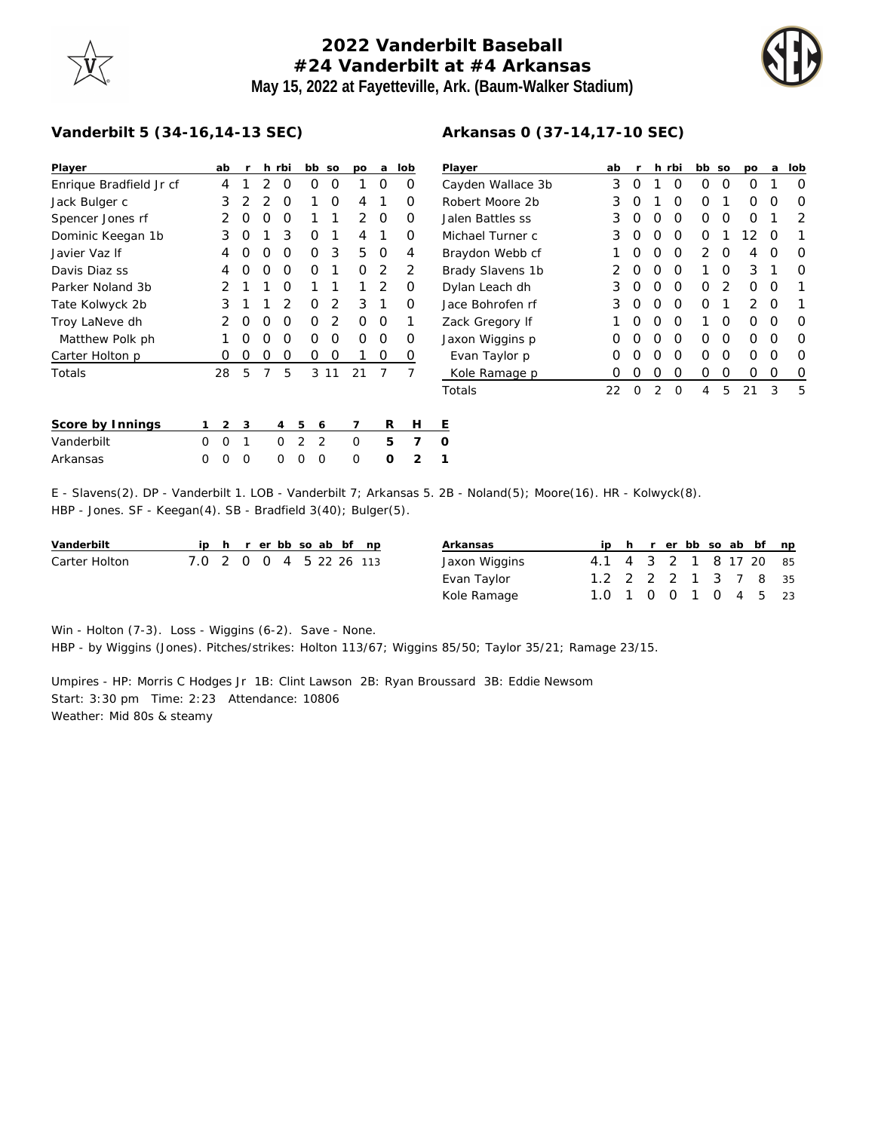## **2022 Vanderbilt Baseball #24 Vanderbilt at #4 Arkansas May 15, 2022 at Fayetteville, Ark. (Baum-Walker Stadium)**



## **Vanderbilt 5 (34-16,14-13 SEC)**

| Player                                                                                              |   | ab            | r |                | h rbi          | bb |   | SO             | po | a | lob            | $\overline{a}$ |
|-----------------------------------------------------------------------------------------------------|---|---------------|---|----------------|----------------|----|---|----------------|----|---|----------------|----------------|
| Enrique Bradfield Jr cf                                                                             |   | 4             | 1 | 2              | O              |    | 0 | O              | 1  | Ω | O              | C              |
| Jack Bulger c                                                                                       |   | 3             | 2 | $\overline{2}$ | 0              | 1  |   | 0              | 4  | 1 | O              | R              |
| Spencer Jones rf                                                                                    |   | 2             | Ω | O              | Ω              | 1  |   | 1              | 2  | O | Ο              | J.             |
| Dominic Keegan 1b                                                                                   |   | 3             | O | 1              | 3              |    | Ο | 1              | 4  | 1 | O              | N              |
| Javier Vaz If                                                                                       |   | 4             | Ο | O              | O              |    | O | 3              | 5  | O | 4              | B              |
| Davis Diaz ss                                                                                       |   | 4             | Ω | O              | O              |    | O | 1              | O  | 2 | 2              | B              |
| Parker Noland 3b                                                                                    |   | $\mathcal{P}$ | 1 | 1              | O              | 1  |   | 1              | 1  | 2 | 0              | С              |
| Tate Kolwyck 2b                                                                                     |   | 3             | 1 | 1              | $\overline{2}$ | Ο  |   | 2              | 3  | 1 | O              | J.             |
| Troy LaNeve dh                                                                                      |   | 2             | Ω | O              | Ω              | 0  |   | $\mathfrak{D}$ | 0  | O | 1              | Z              |
| Matthew Polk ph                                                                                     |   | 1             | Ω | 0              | Ο              | Ο  |   | Ο              | O  | Ο | Ο              | J.             |
| Carter Holton p                                                                                     |   | Ω             | O | 0              | O              | Ο  |   | Ο              | 1  | 0 | 0              |                |
| Totals                                                                                              |   | 28            | 5 | 7              | 5              |    | 3 | 11             | 21 | 7 | 7              |                |
|                                                                                                     |   |               |   |                |                |    |   |                |    |   |                | Τ              |
| Score by Innings                                                                                    | 1 | 2             | 3 |                | 4              | 5  | 6 |                | 7  | R | н              | Ε              |
| Vanderbilt                                                                                          | O | $\Omega$      | 1 |                | O              | 2  | 2 |                | 0  | 5 | 7              | 0              |
| Arkansas                                                                                            | Ω | $\Omega$      | Ω |                | Ω              | O  | O |                | Ω  | O | $\overline{2}$ | 1              |
| $Cl_{21/222}(\Omega)$ DD $U_{222/22}$ $H_4$ $H_1$ DD $U_{222/22}$ $H_2$ $H_1$ $H_2$<br>$\mathbf{r}$ |   |               |   |                |                |    |   |                |    |   |                |                |

## **Arkansas 0 (37-14,17-10 SEC)**

| Player            | ab | r                | h | rbi | bb | SO            | po | a | lob              |
|-------------------|----|------------------|---|-----|----|---------------|----|---|------------------|
| Cayden Wallace 3b | 3  | $\left( \right)$ |   | Ο   | Ω  | 0             | 0  |   | Ω                |
| Robert Moore 2b   | 3  | Ω                | 1 | O   | O  | 1             | Ω  | Ω | $\left( \right)$ |
| Jalen Battles ss  | 3  | Ω                | Ω | O   | Ω  | ∩             | Ω  | 1 | 2                |
| Michael Turner c  | 3  | Ω                | O | O   | 0  | 1             | 12 | O |                  |
| Braydon Webb cf   | 1  | Ω                | Ω | O   | 2  | Ω             | 4  | Ω | O                |
| Brady Slavens 1b  | 2  | Ω                | Ω | O   | 1  | Ω             | 3  | 1 | Ω                |
| Dylan Leach dh    | 3  | Ω                | O | O   | O  | $\mathcal{P}$ | Ω  | O |                  |
| Jace Bohrofen rf  | 3  | Ω                | ∩ | O   | Ω  | 1             | 2  | O |                  |
| Zack Gregory If   | 1  | Ω                | O | O   | 1  | Ω             | Ω  | ∩ | O                |
| Jaxon Wiggins p   | Ω  | Ω                | Ω | O   | Ω  | ∩             | Ω  | ∩ | O                |
| Evan Taylor p     | Ω  | Ω                | O | O   | ∩  | ∩             | Ω  | Ω | Ω                |
| Kole Ramage p     | Ω  | $\left( \right)$ | Ω | O   | Ω  | Ω             | Ω  | Ω | 0                |
| Totals            | 22 | Ω                | 2 | O   | 4  | 5             | 21 | 3 | 5                |

E - Slavens(2). DP - Vanderbilt 1. LOB - Vanderbilt 7; Arkansas 5. 2B - Noland(5); Moore(16). HR - Kolwyck(8). HBP - Jones. SF - Keegan(4). SB - Bradfield 3(40); Bulger(5).

| Vanderbilt    |                         |  |  |  | ip h r er bb so ab bf np | Arkansas      |                        |  |  |  | ip h r er bb so ab bf np |
|---------------|-------------------------|--|--|--|--------------------------|---------------|------------------------|--|--|--|--------------------------|
| Carter Holton | 7.0 2 0 0 4 5 22 26 113 |  |  |  |                          | Jaxon Wiggins | 4.1 4 3 2 1 8 17 20 85 |  |  |  |                          |
|               |                         |  |  |  |                          | Evan Taylor   | 1.2 2 2 2 1 3 7 8 35   |  |  |  |                          |
|               |                         |  |  |  |                          | Kole Ramage   | 1.0 1 0 0 1 0 4 5 23   |  |  |  |                          |

Win - Holton (7-3). Loss - Wiggins (6-2). Save - None. HBP - by Wiggins (Jones). Pitches/strikes: Holton 113/67; Wiggins 85/50; Taylor 35/21; Ramage 23/15.

Umpires - HP: Morris C Hodges Jr 1B: Clint Lawson 2B: Ryan Broussard 3B: Eddie Newsom Start: 3:30 pm Time: 2:23 Attendance: 10806 Weather: Mid 80s & steamy